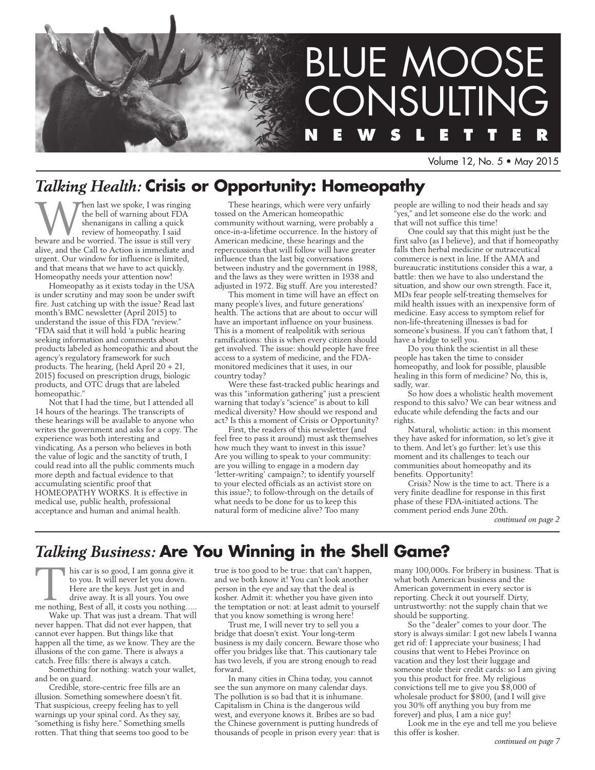

Volume 12, No. 5 • May 2015

# *Talking Health:* **Crisis or Opportunity: Homeopathy**

When last we spoke, I was ringing<br>the bell of warning about FDA<br>shenanigans in calling a quick<br>review of homeopathy. I said<br>beware and be worried. The issue is still very the bell of warning about FDA shenanigans in calling a quick review of homeopathy. I said alive, and the Call to Action is immediate and urgent. Our window for influence is limited, and that means that we have to act quickly. Homeopathy needs your attention now!

Homeopathy as it exists today in the USA is under scrutiny and may soon be under swift fire. Just catching up with the issue? Read last month's BMC newsletter (April 2015) to understand the issue of this FDA "review." "FDA said that it will hold 'a public hearing seeking information and comments about products labeled as homeopathic and about the agency's regulatory framework for such products. The hearing, (held April 20 + 21, 2015) focused on prescription drugs, biologic products, and OTC drugs that are labeled homeopathic."

Not that I had the time, but I attended all 14 hours of the hearings. The transcripts of these hearings will be available to anyone who writes the government and asks for a copy. The experience was both interesting and vindicating. As a person who believes in both the value of logic and the sanctity of truth, I could read into all the public comments much more depth and factual evidence to that accumulating scientific proof that HOMEOPATHY WORKS. It is effective in medical use, public health, professional acceptance and human and animal health.

These hearings, which were very unfairly tossed on the American homeopathic community without warning, were probably a once-in-a-lifetime occurrence. In the history of American medicine, these hearings and the repercussions that will follow will have greater influence than the last big conversations between industry and the government in 1988, and the laws as they were written in 1938 and adjusted in 1972. Big stuff. Are you interested?

This moment in time will have an effect on many people's lives, and future generations' health. The actions that are about to occur will have an important influence on your business. This is a moment of realpolitik with serious ramifications: this is when every citizen should get involved. The issue: should people have free access to a system of medicine, and the FDAmonitored medicines that it uses, in our country today?

Were these fast-tracked public hearings and was this "information gathering" just a prescient warning that today's "science" is about to kill medical diversity? How should we respond and act? Is this a moment of Crisis or Opportunity?

First, the readers of this newsletter (and feel free to pass it around) must ask themselves how much they want to invest in this issue? Are you willing to speak to your community: are you willing to engage in a modern day 'letter-writing' campaign?; to identify yourself to your elected officials as an activist store on this issue?; to follow-through on the details of what needs to be done for us to keep this natural form of medicine alive? Too many

people are willing to nod their heads and say yes," and let someone else do the work: and that will not suffice this time!

One could say that this might just be the first salvo (as I believe), and that if homeopathy falls then herbal medicine or nutraceutical commerce is next in line. If the AMA and bureaucratic institutions consider this a war, a battle: then we have to also understand the situation, and show our own strength. Face it, MDs fear people self-treating themselves for mild health issues with an inexpensive form of medicine. Easy access to symptom relief for non-life-threatening illnesses is bad for someone's business. If you can't fathom that, I have a bridge to sell you.

Do you think the scientist in all these people has taken the time to consider homeopathy, and look for possible, plausible healing in this form of medicine? No, this is, sadly, war.

So how does a wholistic health movement respond to this salvo? We can bear witness and educate while defending the facts and our rights.

Natural, wholistic action: in this moment they have asked for information, so let's give it to them. And let's go further: let's use this moment and its challenges to teach our communities about homeopathy and its benefits. Opportunity!

Crisis? Now is the time to act. There is a very finite deadline for response in this first phase of these FDA-initiated actions. The comment period ends June 20th.

*continued on page 2*

# *Talking Business:* **Are You Winning in the Shell Game?**

his car is so good, I am gonna give it<br>to you. It will never let you down.<br>Here are the keys. Just get in and<br>drive away. It is all yours. You owe<br>me nothing, Best of all, it costs you nothing…. to you. It will never let you down. Here are the keys. Just get in and drive away. It is all yours. You owe

Wake up. That was just a dream. That will never happen. That did not ever happen, that cannot ever happen. But things like that happen all the time, as we know. They are the illusions of the con game. There is always a catch. Free fills: there is always a catch.

Something for nothing: watch your wallet, and be on guard.

Credible, store-centric free fills are an illusion. Something somewhere doesn't fit. That suspicious, creepy feeling has to yell warnings up your spinal cord. As they say, "something is fishy here." Something smells rotten. That thing that seems too good to be true is too good to be true: that can't happen, and we both know it! You can't look another person in the eye and say that the deal is kosher. Admit it: whether you have given into the temptation or not: at least admit to yourself that you know something is wrong here!

Trust me, I will never try to sell you a bridge that doesn't exist. Your long-term business is my daily concern. Beware those who offer you bridges like that. This cautionary tale has two levels, if you are strong enough to read forward.

In many cities in China today, you cannot see the sun anymore on many calendar days. The pollution is so bad that it is inhumane. Capitalism in China is the dangerous wild west, and everyone knows it. Bribes are so bad the Chinese government is putting hundreds of thousands of people in prison every year: that is many 100,000s. For bribery in business. That is what both American business and the American government in every sector is reporting. Check it out yourself. Dirty, untrustworthy: not the supply chain that we should be supporting.

So the "dealer" comes to your door. The story is always similar: I got new labels I wanna get rid of: I appreciate your business; I had cousins that went to Hebei Province on vacation and they lost their luggage and someone stole their credit cards: so I am giving you this product for free. My religious convictions tell me to give you \$8,000 of wholesale product for \$800, (and I will give you 30% off anything you buy from me forever) and plus, I am a nice guy!

Look me in the eye and tell me you believe this offer is kosher.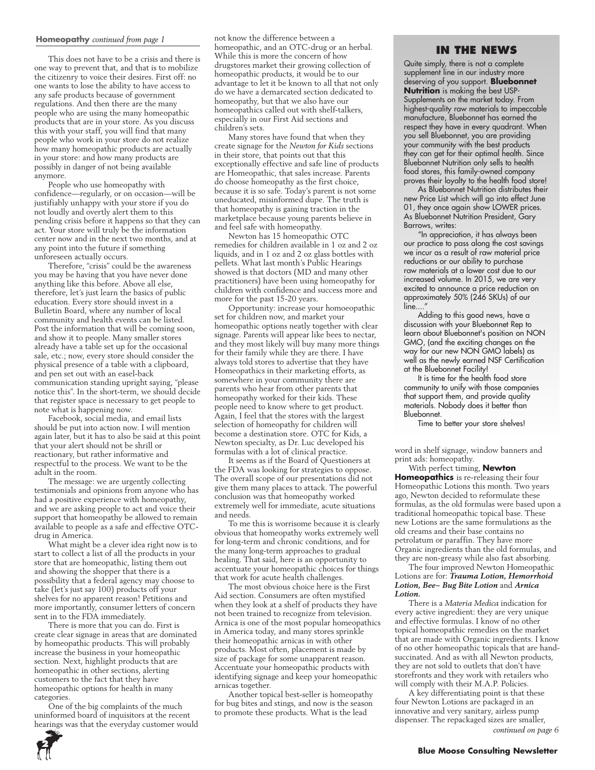#### **Homeopathy** *continued from page 1*

This does not have to be a crisis and there is one way to prevent that, and that is to mobilize the citizenry to voice their desires. First off: no one wants to lose the ability to have access to any safe products because of government regulations. And then there are the many people who are using the many homeopathic products that are in your store. As you discuss this with your staff, you will find that many people who work in your store do not realize how many homeopathic products are actually in your store: and how many products are possibly in danger of not being available anymore.

People who use homeopathy with confidence—regularly, or on occasion—will be justifiably unhappy with your store if you do not loudly and overtly alert them to this pending crisis before it happens so that they can act. Your store will truly be the information center now and in the next two months, and at any point into the future if something unforeseen actually occurs.

Therefore, "crisis" could be the awareness you may be having that you have never done anything like this before. Above all else, therefore, let's just learn the basics of public education. Every store should invest in a Bulletin Board, where any number of local community and health events can be listed. Post the information that will be coming soon, and show it to people. Many smaller stores already have a table set up for the occasional sale, etc.; now, every store should consider the physical presence of a table with a clipboard, and pen set out with an easel-back communication standing upright saying, "please notice this". In the short-term, we should decide that register space is necessary to get people to note what is happening now.

Facebook, social media, and email lists should be put into action now. I will mention again later, but it has to also be said at this point that your alert should not be shrill or reactionary, but rather informative and respectful to the process. We want to be the adult in the room.

The message: we are urgently collecting testimonials and opinions from anyone who has had a positive experience with homeopathy, and we are asking people to act and voice their support that homeopathy be allowed to remain available to people as a safe and effective OTCdrug in America.

What might be a clever idea right now is to start to collect a list of all the products in your store that are homeopathic, listing them out and showing the shopper that there is a possibility that a federal agency may choose to take (let's just say 100) products off your shelves for no apparent reason! Petitions and more importantly, consumer letters of concern sent in to the FDA immediately.

There is more that you can do. First is create clear signage in areas that are dominated by homeopathic products. This will probably increase the business in your homeopathic section. Next, highlight products that are homeopathic in other sections, alerting customers to the fact that they have homeopathic options for health in many categories.

One of the big complaints of the much uninformed board of inquisitors at the recent hearings was that the everyday customer would not know the difference between a homeopathic, and an OTC-drug or an herbal. While this is more the concern of how drugstores market their growing collection of homeopathic products, it would be to our advantage to let it be known to all that not only do we have a demarcated section dedicated to homeopathy, but that we also have our homeopathics called out with shelf-talkers, especially in our First Aid sections and children's sets.

Many stores have found that when they create signage for the *Newton for Kids* sections in their store, that points out that this exceptionally effective and safe line of products are Homeopathic, that sales increase. Parents do choose homeopathy as the first choice, because it is so safe. Today's parent is not some uneducated, misinformed dupe. The truth is that homeopathy is gaining traction in the marketplace because young parents believe in and feel safe with homeopathy.

Newton has 15 homeopathic OTC remedies for children available in 1 oz and 2 oz liquids, and in 1 oz and 2 oz glass bottles with pellets. What last month's Public Hearings showed is that doctors (MD and many other practitioners) have been using homeopathy for children with confidence and success more and more for the past 15-20 years.

Opportunity: increase your homoeopathic set for children now, and market your homeopathic options neatly together with clear signage. Parents will appear like bees to nectar, and they most likely will buy many more things for their family while they are there. I have always told stores to advertise that they have Homeopathics in their marketing efforts, as somewhere in your community there are parents who hear from other parents that homeopathy worked for their kids. These people need to know where to get product. Again, I feel that the stores with the largest selection of homeopathy for children will become a destination store. OTC for Kids, a Newton specialty, as Dr. Luc developed his formulas with a lot of clinical practice.

It seems as if the Board of Questioners at the FDA was looking for strategies to oppose. The overall scope of our presentations did not give them many places to attack. The powerful conclusion was that homeopathy worked extremely well for immediate, acute situations and needs.

To me this is worrisome because it is clearly obvious that homeopathy works extremely well for long-term and chronic conditions, and for the many long-term approaches to gradual healing. That said, here is an opportunity to accentuate your homeopathic choices for things that work for acute health challenges.

The most obvious choice here is the First Aid section. Consumers are often mystified when they look at a shelf of products they have not been trained to recognize from television. Arnica is one of the most popular homeopathics in America today, and many stores sprinkle their homeopathic arnicas in with other products. Most often, placement is made by size of package for some unapparent reason. Accentuate your homeopathic products with identifying signage and keep your homeopathic arnicas together.

Another topical best-seller is homeopathy for bug bites and stings, and now is the season to promote these products. What is the lead

#### **In the News**

Quite simply, there is not a complete supplement line in our industry more deserving of you support. **Bluebonnet Nutrition** is making the best USP-Supplements on the market today. From highest-quality raw materials to impeccable manufacture, Bluebonnet has earned the respect they have in every quadrant. When you sell Bluebonnet, you are providing your community with the best products they can get for their optimal health. Since Bluebonnet Nutrition only sells to health food stores, this family-owned company proves their loyalty to the health food store!

As Bluebonnet Nutrition distributes their new Price List which will go into effect June 01, they once again show LOWER prices. As Bluebonnet Nutrition President, Gary Barrows, writes:

"In appreciation, it has always been our practice to pass along the cost savings we incur as a result of raw material price reductions or our ability to purchase raw materials at a lower cost due to our increased volume. In 2015, we are very excited to announce a price reduction on approximately 50% (246 SKUs) of our line....

Adding to this good news, have a discussion with your Bluebonnet Rep to learn about Bluebonnet's position on NON GMO, (and the exciting changes on the way for our new NON GMO labels) as well as the newly earned NSF Certification at the Bluebonnet Facility!

It is time for the health food store community to unify with those companies that support them, and provide quality materials. Nobody does it better than Bluebonnet.

Time to better your store shelves!

word in shelf signage, window banners and print ads: homeopathy.

With perfect timing, **Newton Homeopathics** is re-releasing their four Homeopathic Lotions this month. Two years ago, Newton decided to reformulate these formulas, as the old formulas were based upon a traditional homeopathic topical base. These new Lotions are the same formulations as the old creams and their base contains no petrolatum or paraffin. They have more Organic ingredients than the old formulas, and they are non-greasy while also fast absorbing.

The four improved Newton Homeopathic Lotions are for: *Trauma Lotion, Hemorrhoid Lotion, Bee~ Bug Bite Lotion* and *Arnica Lotion.*

There is a *Materia Medica* indication for every active ingredient: they are very unique and effective formulas. I know of no other topical homeopathic remedies on the market that are made with Organic ingredients. I know of no other homeopathic topicals that are handsuccinated. And as with all Newton products, they are not sold to outlets that don't have storefronts and they work with retailers who will comply with their M.A.P. Policies.

A key differentiating point is that these four Newton Lotions are packaged in an innovative and very sanitary, airless pump dispenser. The repackaged sizes are smaller,



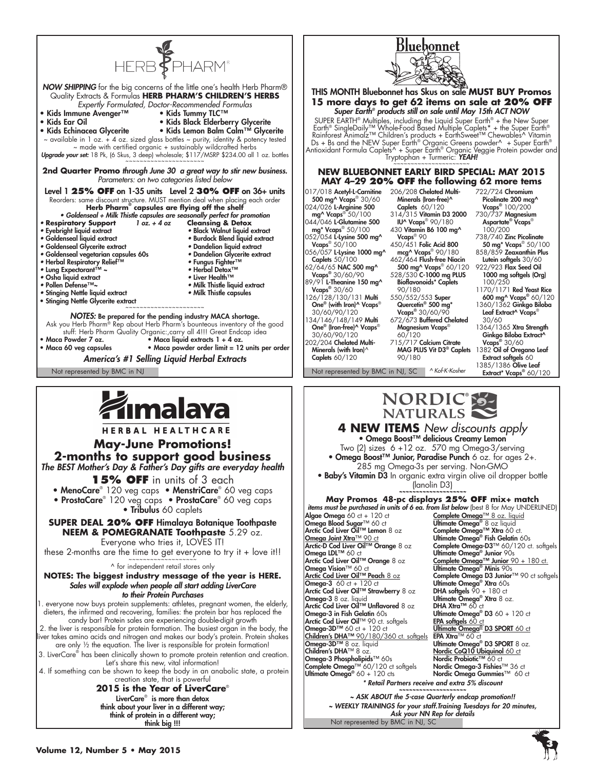

think big !!!

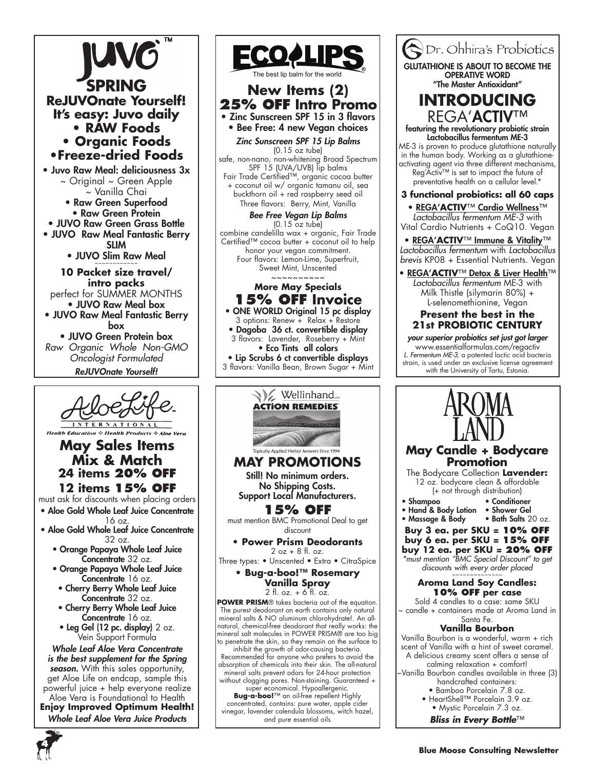

season. With this sales opportunity, get Aloe Life on endcap, sample this powerful juice + help everyone realize Aloe Vera is Foundational to Health

**Enjoy Improved Optimum Health!** *Whole Leaf Aloe Vera Juice Products*





**Vanilla Spray** 2 fl. oz. + 6 fl. oz.

**POWER PRISM**® takes bacteria out of the equation. The purest deodorant on earth contains only natural mineral salts & NO aluminum chlorohydrate!. An allnatural, chemical-free deodorant that really works: the mineral salt molecules in POWER PRISM® are too big to penetrate the skin, so they remain on the surface to

inhibit the growth of odor-causing bacteria. Recommended for anyone who prefers to avoid the absorption of chemicals into their skin. The all-natural mineral salts prevent odors for 24-hour protection without clogging pores. Non-staining. Guaranteed +

super economical. Hypoallergenic. **Bug-a-boo!**™ an oil-free repellent Highly concentrated, contains: pure water, apple cider vinegar, lavender calendula blossoms, witch hazel, and pure essential oils



- Bamboo Porcelain 7.8 oz.
- HeartShell™ Porcelain 3.9 oz.

• Mystic Porcelain 7.3 oz. *Bliss in Every Bottle*™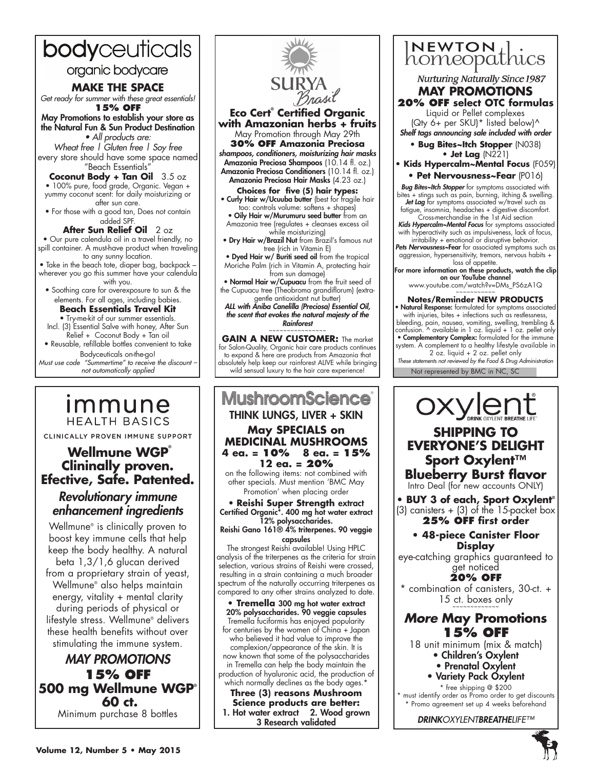# bodyceuticals

# organic bodycare

## **MAKE THE SPACE**

*Get ready for summer with these great essentials!* **15% OFF**

May Promotions to establish your store as the Natural Fun & Sun Product Destination • All products are:

*Wheat free | Gluten free | Soy free* every store should have some space named "Beach Essentials"

**Coconut Body + Tan Oil** 3.5 oz

• 100% pure, food grade, Organic. Vegan + yummy coconut scent: for daily moisturizing or after sun care.

• For those with a good tan, Does not contain added SPF.

**After Sun Relief Oil** 2 oz • Our pure calendula oil in a travel friendly, no spill container. A must-have product when traveling to any sunny location.

• Take in the beach tote, diaper bag, backpack – wherever you go this summer have your calendula with you.

• Soothing care for overexposure to sun & the elements. For all ages, including babies.

## **Beach Essentials Travel Kit**

• Try-me-kit of our summer essentials. Incl. (3) Essential Salve with honey, After Sun  $R$ elief + Coconut Body + Tan oil

• Reusable, refillable bottles convenient to take

Bodyceuticals on-the-go! *Must use code "Summertime" to receive the discount – not automatically applied*

# <u>Immune</u> **HEALTH BASICS**

CLINICALLY PROVEN IMMUNE SUPPORT

# **Wellmune WGP® Clininally proven. Efective, Safe. Patented.**

# *Revolutionary immune enhancement ingredients*

Wellmune® is clinically proven to boost key immune cells that help keep the body healthy. A natural beta 1,3/1,6 glucan derived from a proprietary strain of yeast, Wellmune® also helps maintain energy, vitality + mental clarity during periods of physical or lifestyle stress. Wellmune® delivers these health benefits without over stimulating the immune system.

# *MAY PROMOTIONS* **15% OFF 500 mg Wellmune WGP® 60 ct.**  Minimum purchase 8 bottles



**Eco Cert® Certified Organic with Amazonian herbs + fruits**

May Promotion through May 29th **30% OFF Amazonia Preciosa**

*shampoos, conditioners, moisturizing hair masks* Amazonia Preciosa Shampoos (10.14 fl. oz.) Amazonia Preciosa Conditioners (10.14 fl. oz.) Amazonia Preciosa Hair Masks (4.23 oz.)

**Choices for five (5) hair types:** • Curly Hair w/Ucuuba butter (best for fragile hair

too: controls volume: softens + shapes) • Oily Hair w/Murumuru seed butter from an Amazonia tree (regulates + cleanses excess oil while moisturizing)

**• Dry Hair w/Brazil Nut** from Brazil's famous nut tree (rich in Vitamin E)

• Dyed Hair w/ Buriti seed oil from the tropical Moriche Palm (rich in Vitamin A, protecting hair from sun damage)

• Normal Hair w/Cupuacu from the fruit seed of the Cupuacu tree (Theobroma grandiflorum) (extragentle antioxidant nut butter)

*ALL with Aniba Canelilla (Preciosa) Essential Oil, the scent that evokes the natural majesty of the Rainforest* ~~~~~~~~~~~~~~~~

**GAIN A NEW CUSTOMER:** The market for Salon-Quality, Organic hair care products continues to expand & here are products from Amazonia that absolutely help keep our rainforest ALIVE while bringing wild sensual luxury to the hair care experience!

### **MushroomScience** THINK LUNGS, LIVER + SKIN **May SPECIALS on MEDICIŃAL MUSHROOMS<br>4 eg. = 10% 8 eg. = 15% 4 ea. = 10% 8 ea. = 15% 12 ea. = 20%**  on the following items: not combined with other specials. Must mention 'BMC May Promotion' when placing order

• **Reishi Super Strength** extract Certified Organic\*. 400 mg hot water extract

12% polysaccharides. Reishi Gano 161® 4% triterpenes. 90 veggie

capsules

The strongest Reishi available! Using HPLC analysis of the triterpenes as the criteria for strain selection, various strains of Reishi were crossed, resulting in a strain containing a much broader spectrum of the naturally occurring triterpenes as compared to any other strains analyzed to date.

**• Tremella** 300 mg hot water extract 20% polysaccharides. 90 veggie capsules Tremella fuciformis has enjoyed popularity for centuries by the women of China + Japan who believed it had value to improve the complexion/appearance of the skin. It is now known that some of the polysaccharides in Tremella can help the body maintain the production of hyaluronic acid, the production of which normally declines as the body ages.<sup>\*</sup>

**Three (3) reasons Mushroom Science products are better:** 1. Hot water extract 2. Wood grown 3 Research validated



**Nurturing Naturally Since 1987** 

#### **MAY Promotions 20% OFF select OTC formulas**

Liquid or Pellet complexes (Qty 6+ per SKU)\* listed below)^ *Shelf tags announcing sale included with order*

**• Bug Bites~Itch Stopper** (N038)

**• Jet Lag** (N221) **• Kids Hypercalm~Mental Focus** (F059) **• Pet Nervousness~Fear** (P016)

*Bug Bites~Itch Stopper* for symptoms associated with bites + stings such as pain, burning, itching & swelling. *Jet Lag* for symptoms associated w/travel such as fatigue, insomnia, headaches + digestive discomfort. Cross-merchandise in the 1st Aid section

*Kids Hypercalm~Mental Focus* for symptoms associated with hyperactivity such as impulsiveness, lack of focus,

irritability + emotional or disruptive behavior. *Pets Nervousness~*Fear for associated symptoms such as aggression, hypersensitivity, tremors, nervous habits +

loss of appetite.<br>For more information on these products, watch the clip<br>on our YouTube channel

www.youtube.com/watch?v=DMs\_PS6zA1Q

### **Notes/Reminder NEW PRODUCTS**

Natural Response: formulated for symptoms associated with injuries, bites + infections such as restlessness, bleeding, pain, nausea, vomiting, swelling, trembling & confusion. ^ available in 1 oz. liquid + 1 oz. pellet only • Complementary Complex: formulated for the immune system. A complement to a healthy lifestyle available in 2 oz. liquid + 2 oz. pellet only

Not represented by BMC in NC, SC *These statements not reviewed by the Food & Drug Administration*



# **EVERYONE'S DELIGHT Sport Oxylent™ Blueberry Burst flavor**

Intro Deal (for new accounts ONLY)

**• BUY 3 of each, Sport Oxylent®**  $(3)$  canisters +  $(3)$  of the 15-packet box **25% OFF first order**

### **• 48-piece Canister Floor Display**

eye-catching graphics guaranteed to get noticed

**20% OFF** \* combination of canisters, 30-ct. +

15 ct. boxes only

# *More* **May Promotions 15% OFF**

18 unit minimum (mix & match) • Children's Oxylent

- Prenatal Oxylent
- Variety Pack Oxylent
- \* free shipping @ \$200

must identify order as Promo order to get discounts \* Promo agreement set up 4 weeks beforehand

*DRINKOXYLENTBREATHELIFE™*



**5**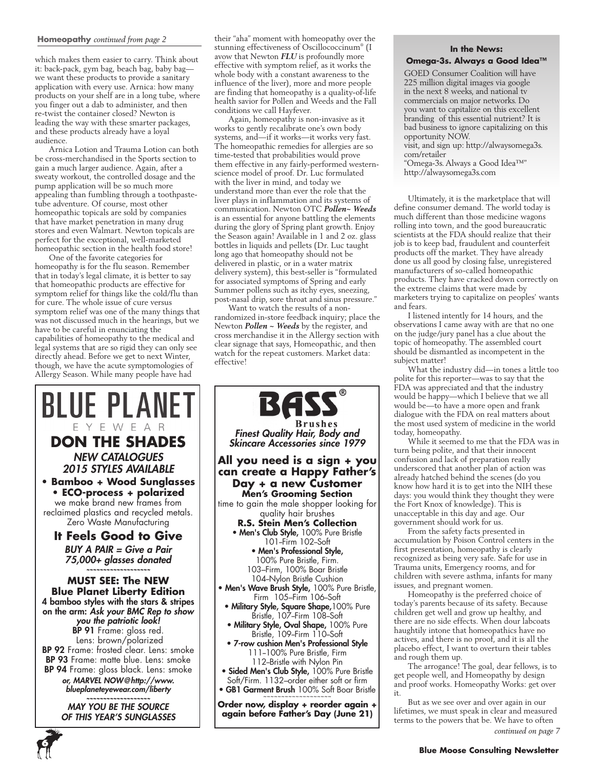#### **Homeopathy** *continued from page 2*

which makes them easier to carry. Think about it: back-pack, gym bag, beach bag, baby bag we want these products to provide a sanitary application with every use. Arnica: how many products on your shelf are in a long tube, where you finger out a dab to administer, and then re-twist the container closed? Newton is leading the way with these smarter packages, and these products already have a loyal audience.

Arnica Lotion and Trauma Lotion can both be cross-merchandised in the Sports section to gain a much larger audience. Again, after a sweaty workout, the controlled dosage and the pump application will be so much more appealing than fumbling through a toothpastetube adventure. Of course, most other homeopathic topicals are sold by companies that have market penetration in many drug stores and even Walmart. Newton topicals are perfect for the exceptional, well-marketed homeopathic section in the health food store!

One of the favorite categories for homeopathy is for the flu season. Remember that in today's legal climate, it is better to say that homeopathic products are effective for symptom relief for things like the cold/flu than for cure. The whole issue of cure versus symptom relief was one of the many things that was not discussed much in the hearings, but we have to be careful in enunciating the capabilities of homeopathy to the medical and legal systems that are so rigid they can only see directly ahead. Before we get to next Winter, though, we have the acute symptomologies of Allergy Season. While many people have had



**6**

their "aha" moment with homeopathy over the stunning effectiveness of Oscillococcinum® (I avow that Newton *FLU* is profoundly more effective with symptom relief, as it works the whole body with a constant awareness to the influence of the liver), more and more people are finding that homeopathy is a quality-of-life health savior for Pollen and Weeds and the Fall conditions we call Hayfever.

Again, homeopathy is non-invasive as it works to gently recalibrate one's own body systems, and—if it works—it works very fast. The homeopathic remedies for allergies are so time-tested that probabilities would prove them effective in any fairly-performed westernscience model of proof. Dr. Luc formulated with the liver in mind, and today we understand more than ever the role that the liver plays in inflammation and its systems of communication. Newton OTC *Pollen~ Weeds* is an essential for anyone battling the elements during the glory of Spring plant growth. Enjoy the Season again! Available in 1 and 2 oz. glass bottles in liquids and pellets (Dr. Luc taught long ago that homeopathy should not be delivered in plastic, or in a water matrix delivery system), this best-seller is "formulated for associated symptoms of Spring and early Summer pollens such as itchy eyes, sneezing, post-nasal drip, sore throat and sinus pressure."

Want to watch the results of a nonrandomized in-store feedback inquiry; place the Newton *Pollen ~ Weeds* by the register, and cross merchandise it in the Allergy section with clear signage that says, Homeopathic, and then watch for the repeat customers. Market data: effective!



#### **In the News: Omega-3s. Always a Good Idea™**

GOED Consumer Coalition will have 225 million digital images via google in the next 8 weeks, and national tv commercials on major networks. Do you want to capitalize on this excellent branding of this essential nutrient? It is bad business to ignore capitalizing on this opportunity NOW.

visit, and sign up: http://alwaysomega3s. com/retailer

"Omega-3s. Always a Good Idea™" http://alwaysomega3s.com

Ultimately, it is the marketplace that will define consumer demand. The world today is much different than those medicine wagons rolling into town, and the good bureaucratic scientists at the FDA should realize that their job is to keep bad, fraudulent and counterfeit products off the market. They have already done us all good by closing false, unregistered manufacturers of so-called homeopathic products. They have cracked down correctly on the extreme claims that were made by marketers trying to capitalize on peoples' wants and fears.

I listened intently for 14 hours, and the observations I came away with are that no one on the judge/jury panel has a clue about the topic of homeopathy. The assembled court should be dismantled as incompetent in the subject matter!

What the industry did—in tones a little too polite for this reporter—was to say that the FDA was appreciated and that the industry would be happy—which I believe that we all would be—to have a more open and frank dialogue with the FDA on real matters about the most used system of medicine in the world today, homeopathy.

While it seemed to me that the FDA was in turn being polite, and that their innocent confusion and lack of preparation really underscored that another plan of action was already hatched behind the scenes (do you know how hard it is to get into the NIH these days: you would think they thought they were the Fort Knox of knowledge). This is unacceptable in this day and age. Our government should work for us.

From the safety facts presented in accumulation by Poison Control centers in the first presentation, homeopathy is clearly recognized as being very safe. Safe for use in Trauma units, Emergency rooms, and for children with severe asthma, infants for many issues, and pregnant women.

Homeopathy is the preferred choice of today's parents because of its safety. Because children get well and grow up healthy, and there are no side effects. When dour labcoats haughtily intone that homeopathics have no actives, and there is no proof, and it is all the placebo effect, I want to overturn their tables and rough them up.

The arrogance! The goal, dear fellows, is to get people well, and Homeopathy by design and proof works. Homeopathy Works: get over it.

But as we see over and over again in our lifetimes, we must speak in clear and measured terms to the powers that be. We have to often

*continued on page 7*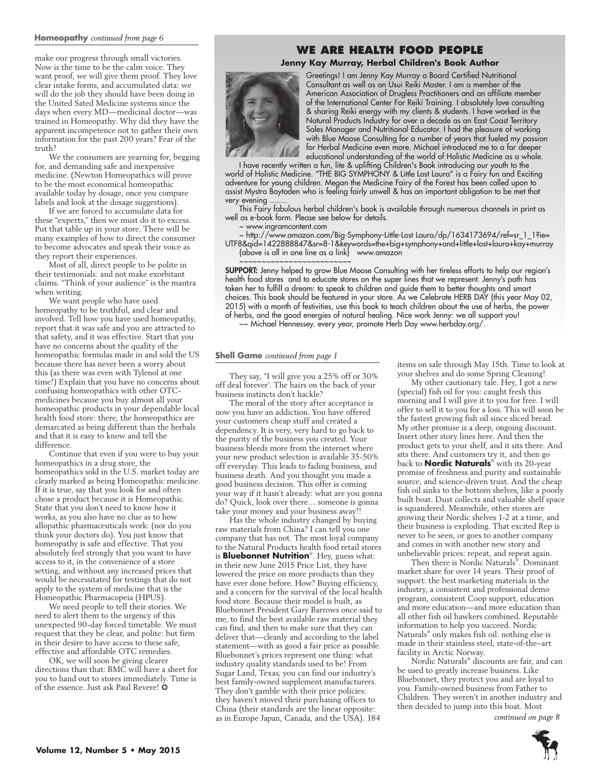#### **Homeopathy** *continued from page 6*

make our progress through small victories. Now is the time to be the calm voice. They want proof, we will give them proof. They love clear intake forms, and accumulated data: we will do the job they should have been doing in the United Sated Medicine systems since the days when every MD—medicinal doctor—was trained in Homeopathy. Why did they have the apparent incompetence not to gather their own information for the past 200 years? Fear of the truth?

We the consumers are yearning for, begging for, and demanding safe and inexpensive medicine. (Newton Homeopathics will prove to be the most economical homeopathic available today by dosage, once you compare labels and look at the dosage suggestions).

If we are forced to accumulate data for these "experts," then we must do it to excess. Put that table up in your store. There will be many examples of how to direct the consumer to become advocates and speak their voice as they report their experiences.

Most of all, direct people to be polite in their testimonials: and not make exorbitant claims. "Think of your audience" is the mantra when writing.

We want people who have used homeopathy to be truthful, and clear and involved. Tell how you have used homeopathy, report that it was safe and you are attracted to that safety, and it was effective. Start that you have no concerns about the quality of the homeopathic formulas made in and sold the US because there has never been a worry about this (as there was even with Tylenol at one time!) Explain that you have no concerns about confusing homeopathics with other OTCmedicines because you buy almost all your homeopathic products in your dependable local health food store: there, the homeopathics are demarcated as being different than the herbals and that it is easy to know and tell the difference.

Continue that even if you were to buy your homeopathics in a drug store, the homeopathics sold in the U.S. market today are clearly marked as being Homeopathic medicine. If it is true, say that you look for and often chose a product because it is Homeopathic. State that you don't need to know how it works, as you also have no clue as to how allopathic pharmaceuticals work: (nor do you think your doctors do). You just know that homeopathy is safe and effective. That you absolutely feel strongly that you want to have access to it, in the convenience of a store setting, and without any increased prices that would be necessitated for testings that do not apply to the system of medicine that is the Homeopathic Pharmacopeia (HPUS).

We need people to tell their stories. We need to alert them to the urgency of this unexpected 90-day forced timetable. We must request that they be clear, and polite: but firm in their desire to have access to these safe, effective and affordable OTC remedies.

OK, we will soon be giving clearer directions than that: BMC will have a sheet for you to hand out to stores immediately. Time is of the essence. Just ask Paul Revere! ❂

# **We Are Health Food People**

**Jenny Kay Murray, Herbal Children's Book Author**



Greetings! I am Jenny Kay Murray a Board Certified Nutritional Consultant as well as an Usui Reiki Master. I am a member of the American Association of Drugless Practitioners and an affiliate member of the International Center For Reiki Training. I absolutely love consulting & sharing Reiki energy with my clients & students. I have worked in the Natural Products Industry for over a decade as an East Coast Territory Sales Manager and Nutritional Educator. I had the pleasure of working with Blue Moose Consulting for a number of years that fueled my passion for Herbal Medicine even more. Michael introduced me to a far deeper educational understanding of the world of Holistic Medicine as a whole.

I have recently written a fun, lite & uplifting Children's Book introducing our youth to the world of Holistic Medicine. "THE BIG SYMPHONY & Little Lost Laura" is a Fairy fun and Exciting adventure for young children. Megan the Medicine Fairy of the Forest has been called upon to assist Mystro Baytoden who is feeling fairly unwell & has an important obligation to be met that very evening.

This Fairy fabulous herbal children's book is available through numerous channels in print as well as e-book form. Please see below for details.

~ www.ingramcontent.com

~ http://www.amazon.com/Big-Symphony-Little-Lost Laura/dp/1634173694/ref=sr\_1\_1?ie= UTF8&qid=1422888847&sr=8-1&keywords=the+big+symphony+and+little+lost+laura+kay+murray {above is all in one line as a link} www.amazon

~~~~~~~~~~~~~~~~~~~~~~~~~ SUPPORT: Jenny helped to grow Blue Moose Consulting with her tireless efforts to help our region's health food stores and to educate stores on the super lines that we represent. Jenny's path has taken her to fulfill a dream: to speak to children and guide them to better thoughts and smart choices. This book should be featured in your store. As we Celebrate HERB DAY {this year May 02, 2015} with a month of festivities, use this book to teach children about the use of herbs, the power of herbs, and the good energies of natural healing. Nice work Jenny: we all support you!

~~ Michael Hennessey. every year, promote Herb Day www.herbday.org/.

#### **Shell Game** *continued from page 1*

They say, "I will give you a 25% off or 30% off deal forever'. The hairs on the back of your business instincts don't hackle?

The moral of the story after acceptance is now you have an addiction. You have offered your customers cheap stuff and created a dependency. It is very, very hard to go back to the purity of the business you created. Your business bleeds more from the internet where your new product selection is available 35-50% off everyday. This leads to fading business, and business death. And you thought you made a good business decision. This offer is coming your way if it hasn't already: what are you gonna do? Quick, look over there… someone is gonna take your money and your business away!!

Has the whole industry changed by buying raw materials from China? I can tell you one company that has not. The most loyal company to the Natural Products health food retail stores is **Bluebonnet Nutrition**® . Hey, guess what: in their new June 2015 Price List, they have lowered the price on more products than they have ever done before. How? Buying efficiency, and a concern for the survival of the local health food store. Because their model is built, as Bluebonnet President Gary Barrows once said to me, to find the best available raw material they can find, and then to make sure that they can deliver that—cleanly and according to the label statement—with as good a fair price as possible. Bluebonnet's prices represent one thing: what industry quality standards used to be! From Sugar Land, Texas, you can find our industry's best family-owned supplement manufacturers. They don't gamble with their price policies: they haven't moved their purchasing offices to China (their standards are the linear opposite: as in Europe Japan, Canada, and the USA). 184

items on sale through May 15th. Time to look at your shelves and do some Spring Cleaning!

My other cautionary tale. Hey, I got a new (special) fish oil for you: caught fresh this morning and I will give it to you for free. I will offer to sell it to you for a loss. This will soon be the fastest growing fish oil since sliced bread. My other promise is a deep, ongoing discount. Insert other story lines here. And then the product gets to your shelf, and it sits there. And sits there. And customers try it, and then go back to **Nordic Naturals**® with its 20-year promise of freshness and purity and sustainable source, and science-driven trust. And the cheap fish oil sinks to the bottom shelves, like a poorly built boat. Dust collects and valuable shelf space is squandered. Meanwhile, other stores are growing their Nordic shelves 1-2 at a time, and their business is exploding. That excited Rep is never to be seen, or goes to another company and comes in with another new story and unbelievable prices: repeat, and repeat again.

Then there is Nordic Naturals® . Dominant market share for over 14 years. Their proof of support: the best marketing materials in the industry, a consistent and professional demo program, consistent Coop support, education and more education—and more education than all other fish oil hawkers combined. Reputable information to help you succeed. Nordic Naturals® only makes fish oil: nothing else is made in their stainless steel, state-of-the–art facility in Arctic Norway.

Nordic Naturals® discounts are fair, and can be used to greatly increase business. Like Bluebonnet, they protect you and are loyal to you. Family-owned business from Father to Children. They weren't in another industry and then decided to jump into this boat. Most

*continued on page 8*